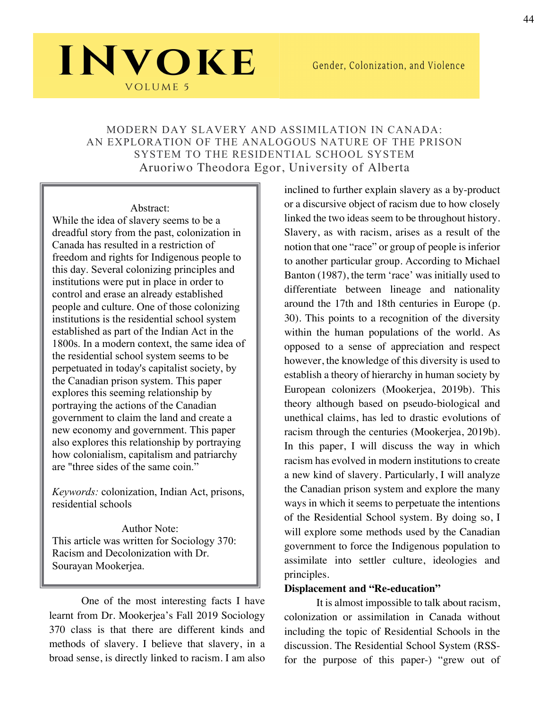### MODERN DAY SLAVERY AND ASSIMILATION IN CANADA: AN EXPLORATION OF THE ANALOGOUS NATURE OF THE PRISON SYSTEM TO THE RESIDENTIAL SCHOOL SYSTEM Aruoriwo Theodora Egor, University of Alberta

Abstract: While the idea of slavery seems to be a dreadful story from the past, colonization in Canada has resulted in a restriction of freedom and rights for Indigenous people to this day. Several colonizing principles and institutions were put in place in order to control and erase an already established people and culture. One of those colonizing institutions is the residential school system established as part of the Indian Act in the 1800s. In a modern context, the same idea of the residential school system seems to be perpetuated in today's capitalist society, by the Canadian prison system. This paper explores this seeming relationship by portraying the actions of the Canadian government to claim the land and create a new economy and government. This paper also explores this relationship by portraying how colonialism, capitalism and patriarchy are "three sides of the same coin."

INVOKE

**VOLUME 5** 

*Keywords:* colonization, Indian Act, prisons, residential schools

Author Note: This article was written for Sociology 370: Racism and Decolonization with Dr. Sourayan Mookerjea.

One of the most interesting facts I have learnt from Dr. Mookerjea's Fall 2019 Sociology 370 class is that there are different kinds and methods of slavery. I believe that slavery, in a broad sense, is directly linked to racism. I am also

inclined to further explain slavery as a by-product or a discursive object of racism due to how closely linked the two ideas seem to be throughout history. Slavery, as with racism, arises as a result of the notion that one "race" or group of people is inferior to another particular group. According to Michael Banton (1987), the term 'race' was initially used to differentiate between lineage and nationality around the 17th and 18th centuries in Europe (p. 30). This points to a recognition of the diversity within the human populations of the world. As opposed to a sense of appreciation and respect however, the knowledge of this diversity is used to establish a theory of hierarchy in human society by European colonizers (Mookerjea, 2019b). This theory although based on pseudo-biological and unethical claims, has led to drastic evolutions of racism through the centuries (Mookerjea, 2019b). In this paper, I will discuss the way in which racism has evolved in modern institutions to create a new kind of slavery. Particularly, I will analyze the Canadian prison system and explore the many ways in which it seems to perpetuate the intentions of the Residential School system. By doing so, I will explore some methods used by the Canadian government to force the Indigenous population to assimilate into settler culture, ideologies and principles.

#### **Displacement and "Re-education"**

It is almost impossible to talk about racism, colonization or assimilation in Canada without including the topic of Residential Schools in the discussion. The Residential School System (RSSfor the purpose of this paper-) "grew out of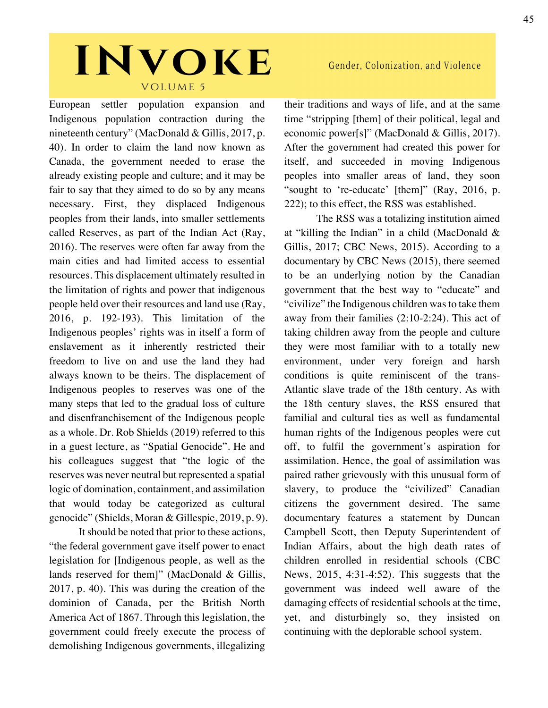European settler population expansion and Indigenous population contraction during the nineteenth century" (MacDonald & Gillis, 2017, p. 40). In order to claim the land now known as Canada, the government needed to erase the already existing people and culture; and it may be fair to say that they aimed to do so by any means necessary. First, they displaced Indigenous peoples from their lands, into smaller settlements called Reserves, as part of the Indian Act (Ray, 2016). The reserves were often far away from the main cities and had limited access to essential resources. This displacement ultimately resulted in the limitation of rights and power that indigenous people held over their resources and land use (Ray, 2016, p. 192-193). This limitation of the Indigenous peoples' rights was in itself a form of enslavement as it inherently restricted their freedom to live on and use the land they had always known to be theirs. The displacement of Indigenous peoples to reserves was one of the many steps that led to the gradual loss of culture and disenfranchisement of the Indigenous people as a whole. Dr. Rob Shields (2019) referred to this in a guest lecture, as "Spatial Genocide". He and his colleagues suggest that "the logic of the reserves was never neutral but represented a spatial logic of domination, containment, and assimilation that would today be categorized as cultural genocide" (Shields, Moran & Gillespie, 2019, p. 9).

It should be noted that prior to these actions, "the federal government gave itself power to enact legislation for [Indigenous people, as well as the lands reserved for them]" (MacDonald & Gillis, 2017, p. 40). This was during the creation of the dominion of Canada, per the British North America Act of 1867. Through this legislation, the government could freely execute the process of demolishing Indigenous governments, illegalizing

their traditions and ways of life, and at the same time "stripping [them] of their political, legal and economic power[s]" (MacDonald & Gillis, 2017). After the government had created this power for itself, and succeeded in moving Indigenous peoples into smaller areas of land, they soon "sought to 're-educate' [them]" (Ray, 2016, p. 222); to this effect, the RSS was established.

Gender, Colonization, and Violence

The RSS was a totalizing institution aimed at "killing the Indian" in a child (MacDonald & Gillis, 2017; CBC News, 2015). According to a documentary by CBC News (2015), there seemed to be an underlying notion by the Canadian government that the best way to "educate" and "civilize" the Indigenous children was to take them away from their families (2:10-2:24). This act of taking children away from the people and culture they were most familiar with to a totally new environment, under very foreign and harsh conditions is quite reminiscent of the trans-Atlantic slave trade of the 18th century. As with the 18th century slaves, the RSS ensured that familial and cultural ties as well as fundamental human rights of the Indigenous peoples were cut off, to fulfil the government's aspiration for assimilation. Hence, the goal of assimilation was paired rather grievously with this unusual form of slavery, to produce the "civilized" Canadian citizens the government desired. The same documentary features a statement by Duncan Campbell Scott, then Deputy Superintendent of Indian Affairs, about the high death rates of children enrolled in residential schools (CBC News, 2015, 4:31-4:52). This suggests that the government was indeed well aware of the damaging effects of residential schools at the time, yet, and disturbingly so, they insisted on continuing with the deplorable school system.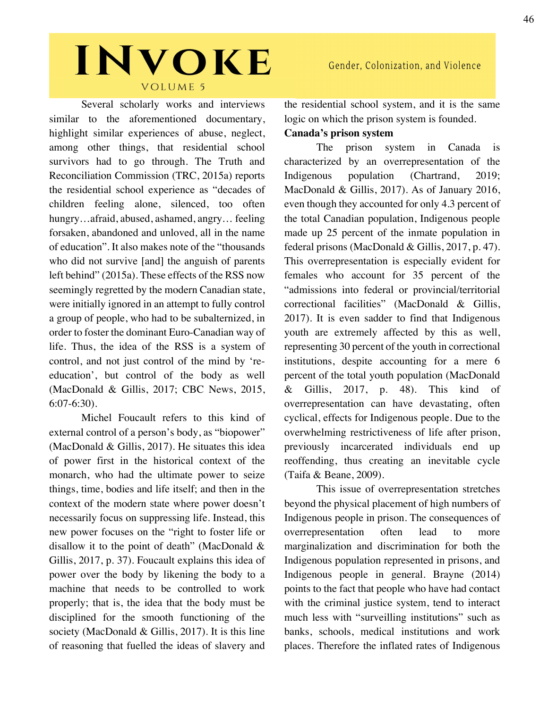Several scholarly works and interviews similar to the aforementioned documentary, highlight similar experiences of abuse, neglect, among other things, that residential school survivors had to go through. The Truth and Reconciliation Commission (TRC, 2015a) reports the residential school experience as "decades of children feeling alone, silenced, too often hungry…afraid, abused, ashamed, angry… feeling forsaken, abandoned and unloved, all in the name of education". It also makes note of the "thousands who did not survive [and] the anguish of parents left behind" (2015a). These effects of the RSS now seemingly regretted by the modern Canadian state, were initially ignored in an attempt to fully control a group of people, who had to be subalternized, in order to foster the dominant Euro-Canadian way of life. Thus, the idea of the RSS is a system of control, and not just control of the mind by 'reeducation', but control of the body as well (MacDonald & Gillis, 2017; CBC News, 2015, 6:07-6:30).

Michel Foucault refers to this kind of external control of a person's body, as "biopower" (MacDonald & Gillis, 2017). He situates this idea of power first in the historical context of the monarch, who had the ultimate power to seize things, time, bodies and life itself; and then in the context of the modern state where power doesn't necessarily focus on suppressing life. Instead, this new power focuses on the "right to foster life or disallow it to the point of death" (MacDonald & Gillis, 2017, p. 37). Foucault explains this idea of power over the body by likening the body to a machine that needs to be controlled to work properly; that is, the idea that the body must be disciplined for the smooth functioning of the society (MacDonald & Gillis, 2017). It is this line of reasoning that fuelled the ideas of slavery and Gender, Colonization, and Violence

the residential school system, and it is the same logic on which the prison system is founded.

#### **Canada's prison system**

The prison system in Canada is characterized by an overrepresentation of the Indigenous population (Chartrand, 2019; MacDonald & Gillis, 2017). As of January 2016, even though they accounted for only 4.3 percent of the total Canadian population, Indigenous people made up 25 percent of the inmate population in federal prisons (MacDonald & Gillis, 2017, p. 47). This overrepresentation is especially evident for females who account for 35 percent of the "admissions into federal or provincial/territorial correctional facilities" (MacDonald & Gillis, 2017). It is even sadder to find that Indigenous youth are extremely affected by this as well, representing 30 percent of the youth in correctional institutions, despite accounting for a mere 6 percent of the total youth population (MacDonald & Gillis, 2017, p. 48). This kind of overrepresentation can have devastating, often cyclical, effects for Indigenous people. Due to the overwhelming restrictiveness of life after prison, previously incarcerated individuals end up reoffending, thus creating an inevitable cycle (Taifa & Beane, 2009).

This issue of overrepresentation stretches beyond the physical placement of high numbers of Indigenous people in prison. The consequences of overrepresentation often lead to more marginalization and discrimination for both the Indigenous population represented in prisons, and Indigenous people in general. Brayne (2014) points to the fact that people who have had contact with the criminal justice system, tend to interact much less with "surveilling institutions" such as banks, schools, medical institutions and work places. Therefore the inflated rates of Indigenous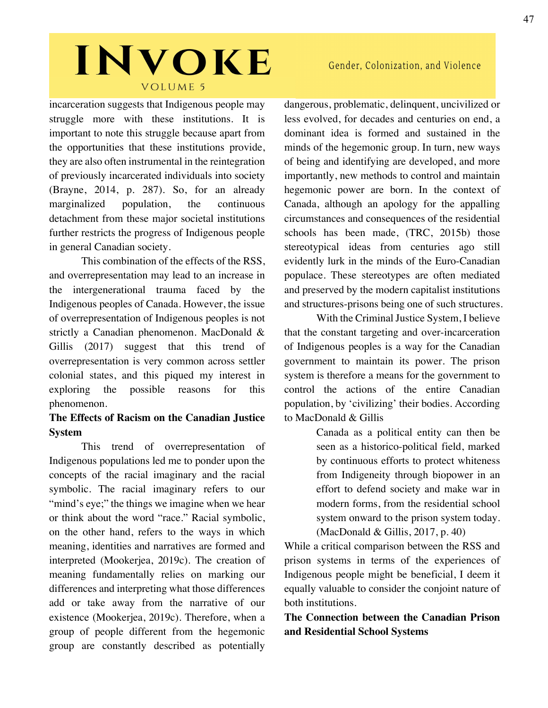incarceration suggests that Indigenous people may struggle more with these institutions. It is important to note this struggle because apart from the opportunities that these institutions provide, they are also often instrumental in the reintegration of previously incarcerated individuals into society (Brayne, 2014, p. 287). So, for an already marginalized population, the continuous detachment from these major societal institutions further restricts the progress of Indigenous people in general Canadian society.

This combination of the effects of the RSS, and overrepresentation may lead to an increase in the intergenerational trauma faced by the Indigenous peoples of Canada. However, the issue of overrepresentation of Indigenous peoples is not strictly a Canadian phenomenon. MacDonald & Gillis (2017) suggest that this trend of overrepresentation is very common across settler colonial states, and this piqued my interest in exploring the possible reasons for this phenomenon.

### **The Effects of Racism on the Canadian Justice System**

This trend of overrepresentation of Indigenous populations led me to ponder upon the concepts of the racial imaginary and the racial symbolic. The racial imaginary refers to our "mind's eye;" the things we imagine when we hear or think about the word "race." Racial symbolic, on the other hand, refers to the ways in which meaning, identities and narratives are formed and interpreted (Mookerjea, 2019c). The creation of meaning fundamentally relies on marking our differences and interpreting what those differences add or take away from the narrative of our existence (Mookerjea, 2019c). Therefore, when a group of people different from the hegemonic group are constantly described as potentially

dangerous, problematic, delinquent, uncivilized or less evolved, for decades and centuries on end, a dominant idea is formed and sustained in the minds of the hegemonic group. In turn, new ways of being and identifying are developed, and more importantly, new methods to control and maintain hegemonic power are born. In the context of Canada, although an apology for the appalling circumstances and consequences of the residential schools has been made, (TRC, 2015b) those stereotypical ideas from centuries ago still evidently lurk in the minds of the Euro-Canadian populace. These stereotypes are often mediated and preserved by the modern capitalist institutions and structures-prisons being one of such structures.

With the Criminal Justice System, I believe that the constant targeting and over-incarceration of Indigenous peoples is a way for the Canadian government to maintain its power. The prison system is therefore a means for the government to control the actions of the entire Canadian population, by 'civilizing' their bodies. According to MacDonald & Gillis

> Canada as a political entity can then be seen as a historico-political field, marked by continuous efforts to protect whiteness from Indigeneity through biopower in an effort to defend society and make war in modern forms, from the residential school system onward to the prison system today. (MacDonald & Gillis, 2017, p. 40)

While a critical comparison between the RSS and prison systems in terms of the experiences of Indigenous people might be beneficial, I deem it equally valuable to consider the conjoint nature of both institutions.

**The Connection between the Canadian Prison and Residential School Systems**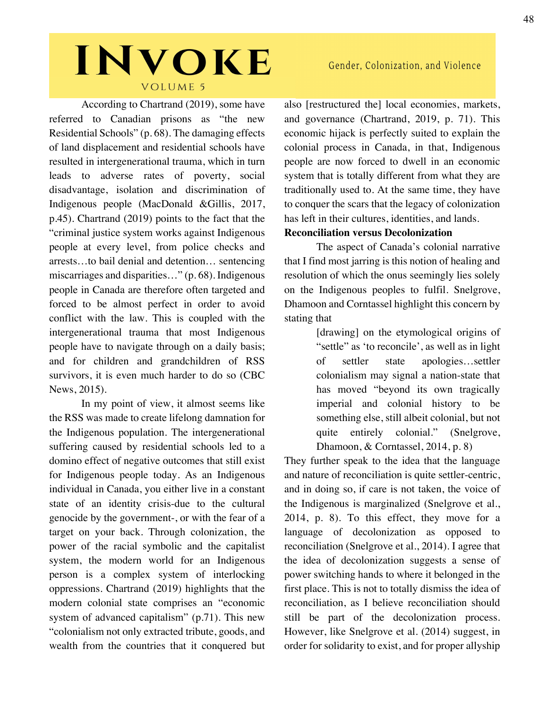According to Chartrand (2019), some have referred to Canadian prisons as "the new Residential Schools" (p. 68). The damaging effects of land displacement and residential schools have resulted in intergenerational trauma, which in turn leads to adverse rates of poverty, social disadvantage, isolation and discrimination of Indigenous people (MacDonald &Gillis, 2017, p.45). Chartrand (2019) points to the fact that the "criminal justice system works against Indigenous people at every level, from police checks and arrests…to bail denial and detention… sentencing miscarriages and disparities..." (p. 68). Indigenous people in Canada are therefore often targeted and forced to be almost perfect in order to avoid conflict with the law. This is coupled with the intergenerational trauma that most Indigenous people have to navigate through on a daily basis; and for children and grandchildren of RSS survivors, it is even much harder to do so (CBC News, 2015).

In my point of view, it almost seems like the RSS was made to create lifelong damnation for the Indigenous population. The intergenerational suffering caused by residential schools led to a domino effect of negative outcomes that still exist for Indigenous people today. As an Indigenous individual in Canada, you either live in a constant state of an identity crisis-due to the cultural genocide by the government-, or with the fear of a target on your back. Through colonization, the power of the racial symbolic and the capitalist system, the modern world for an Indigenous person is a complex system of interlocking oppressions. Chartrand (2019) highlights that the modern colonial state comprises an "economic system of advanced capitalism" (p.71). This new "colonialism not only extracted tribute, goods, and wealth from the countries that it conquered but

### Gender, Colonization, and Violence

also [restructured the] local economies, markets, and governance (Chartrand, 2019, p. 71). This economic hijack is perfectly suited to explain the colonial process in Canada, in that, Indigenous people are now forced to dwell in an economic system that is totally different from what they are traditionally used to. At the same time, they have to conquer the scars that the legacy of colonization has left in their cultures, identities, and lands.

#### **Reconciliation versus Decolonization**

The aspect of Canada's colonial narrative that I find most jarring is this notion of healing and resolution of which the onus seemingly lies solely on the Indigenous peoples to fulfil. Snelgrove, Dhamoon and Corntassel highlight this concern by stating that

> [drawing] on the etymological origins of "settle" as 'to reconcile', as well as in light of settler state apologies…settler colonialism may signal a nation-state that has moved "beyond its own tragically imperial and colonial history to be something else, still albeit colonial, but not quite entirely colonial." (Snelgrove, Dhamoon, & Corntassel, 2014, p. 8)

They further speak to the idea that the language and nature of reconciliation is quite settler-centric, and in doing so, if care is not taken, the voice of the Indigenous is marginalized (Snelgrove et al., 2014, p. 8). To this effect, they move for a language of decolonization as opposed to reconciliation (Snelgrove et al., 2014). I agree that the idea of decolonization suggests a sense of power switching hands to where it belonged in the first place. This is not to totally dismiss the idea of reconciliation, as I believe reconciliation should still be part of the decolonization process. However, like Snelgrove et al. (2014) suggest, in order for solidarity to exist, and for proper allyship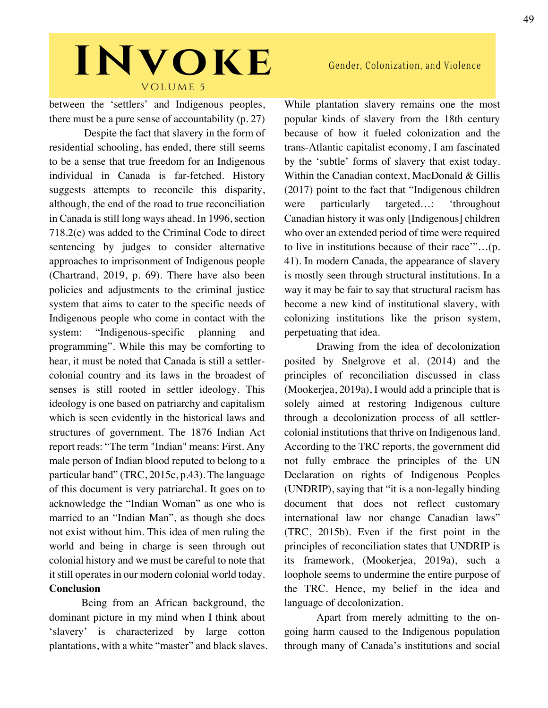between the 'settlers' and Indigenous peoples, there must be a pure sense of accountability (p. 27)

Despite the fact that slavery in the form of residential schooling, has ended, there still seems to be a sense that true freedom for an Indigenous individual in Canada is far-fetched. History suggests attempts to reconcile this disparity, although, the end of the road to true reconciliation in Canada is still long ways ahead. In 1996, section 718.2(e) was added to the Criminal Code to direct sentencing by judges to consider alternative approaches to imprisonment of Indigenous people (Chartrand, 2019, p. 69). There have also been policies and adjustments to the criminal justice system that aims to cater to the specific needs of Indigenous people who come in contact with the system: "Indigenous-specific planning and programming". While this may be comforting to hear, it must be noted that Canada is still a settlercolonial country and its laws in the broadest of senses is still rooted in settler ideology. This ideology is one based on patriarchy and capitalism which is seen evidently in the historical laws and structures of government. The 1876 Indian Act report reads: "The term "Indian" means: First. Any male person of Indian blood reputed to belong to a particular band" (TRC, 2015c, p.43). The language of this document is very patriarchal. It goes on to acknowledge the "Indian Woman" as one who is married to an "Indian Man", as though she does not exist without him. This idea of men ruling the world and being in charge is seen through out colonial history and we must be careful to note that it still operates in our modern colonial world today. **Conclusion**

Being from an African background, the dominant picture in my mind when I think about 'slavery' is characterized by large cotton plantations, with a white "master" and black slaves.

### Gender, Colonization, and Violence

While plantation slavery remains one the most popular kinds of slavery from the 18th century because of how it fueled colonization and the trans-Atlantic capitalist economy, I am fascinated by the 'subtle' forms of slavery that exist today. Within the Canadian context, MacDonald & Gillis (2017) point to the fact that "Indigenous children were particularly targeted...: 'throughout Canadian history it was only [Indigenous] children who over an extended period of time were required to live in institutions because of their race'"…(p. 41). In modern Canada, the appearance of slavery is mostly seen through structural institutions. In a way it may be fair to say that structural racism has become a new kind of institutional slavery, with colonizing institutions like the prison system, perpetuating that idea.

Drawing from the idea of decolonization posited by Snelgrove et al. (2014) and the principles of reconciliation discussed in class (Mookerjea, 2019a), I would add a principle that is solely aimed at restoring Indigenous culture through a decolonization process of all settlercolonial institutions that thrive on Indigenous land. According to the TRC reports, the government did not fully embrace the principles of the UN Declaration on rights of Indigenous Peoples (UNDRIP), saying that "it is a non-legally binding document that does not reflect customary international law nor change Canadian laws" (TRC, 2015b). Even if the first point in the principles of reconciliation states that UNDRIP is its framework, (Mookerjea, 2019a), such a loophole seems to undermine the entire purpose of the TRC. Hence, my belief in the idea and language of decolonization.

Apart from merely admitting to the ongoing harm caused to the Indigenous population through many of Canada's institutions and social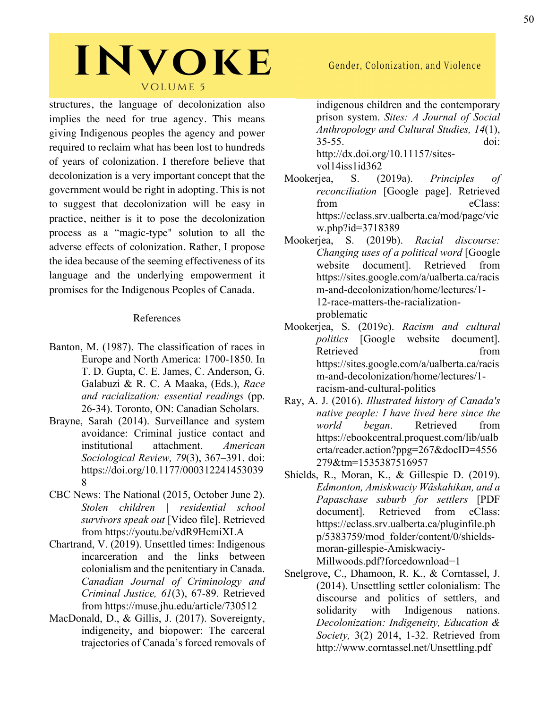structures, the language of decolonization also implies the need for true agency. This means giving Indigenous peoples the agency and power required to reclaim what has been lost to hundreds of years of colonization. I therefore believe that decolonization is a very important concept that the government would be right in adopting. This is not to suggest that decolonization will be easy in practice, neither is it to pose the decolonization process as a "magic-type" solution to all the adverse effects of colonization. Rather, I propose the idea because of the seeming effectiveness of its language and the underlying empowerment it promises for the Indigenous Peoples of Canada.

#### References

- Banton, M. (1987). The classification of races in Europe and North America: 1700-1850. In T. D. Gupta, C. E. James, C. Anderson, G. Galabuzi & R. C. A Maaka, (Eds.), *Race and racialization: essential readings* (pp. 26-34). Toronto, ON: Canadian Scholars.
- Brayne, Sarah (2014). Surveillance and system avoidance: Criminal justice contact and institutional attachment. *American Sociological Review, 79*(3), 367–391. doi: https://doi.org/10.1177/000312241453039 8
- CBC News: The National (2015, October June 2). *Stolen children | residential school survivors speak out* [Video file]. Retrieved from https://youtu.be/vdR9HcmiXLA
- Chartrand, V. (2019). Unsettled times: Indigenous incarceration and the links between colonialism and the penitentiary in Canada. *Canadian Journal of Criminology and Criminal Justice, 61*(3), 67-89. Retrieved from https://muse.jhu.edu/article/730512
- MacDonald, D., & Gillis, J. (2017). Sovereignty, indigeneity, and biopower: The carceral trajectories of Canada's forced removals of

### Gender, Colonization, and Violence

indigenous children and the contemporary prison system. *Sites: A Journal of Social Anthropology and Cultural Studies, 14*(1), 35-55. doi: http://dx.doi.org/10.11157/sites-

vol14iss1id362

- Mookerjea, S. (2019a). *Principles of reconciliation* [Google page]. Retrieved from eClass: https://eclass.srv.ualberta.ca/mod/page/vie w.php?id=3718389
- Mookerjea, S. (2019b). *Racial discourse: Changing uses of a political word* [Google website document]. Retrieved from https://sites.google.com/a/ualberta.ca/racis m-and-decolonization/home/lectures/1- 12-race-matters-the-racializationproblematic
- Mookerjea, S. (2019c). *Racism and cultural politics* [Google website document]. Retrieved from https://sites.google.com/a/ualberta.ca/racis m-and-decolonization/home/lectures/1 racism-and-cultural-politics
- Ray, A. J. (2016). *Illustrated history of Canada's native people: I have lived here since the world began*. Retrieved from https://ebookcentral.proquest.com/lib/ualb erta/reader.action?ppg=267&docID=4556 279&tm=1535387516957
- Shields, R., Moran, K., & Gillespie D. (2019). *Edmonton, Amiskwaciy Wâskahikan, and a Papaschase suburb for settlers* [PDF document]. Retrieved from eClass: https://eclass.srv.ualberta.ca/pluginfile.ph p/5383759/mod\_folder/content/0/shieldsmoran-gillespie-Amiskwaciy-Millwoods.pdf?forcedownload=1
- Snelgrove, C., Dhamoon, R. K., & Corntassel, J. (2014). Unsettling settler colonialism: The discourse and politics of settlers, and solidarity with Indigenous nations. *Decolonization: Indigeneity, Education & Society,* 3(2) 2014, 1-32. Retrieved from http://www.corntassel.net/Unsettling.pdf